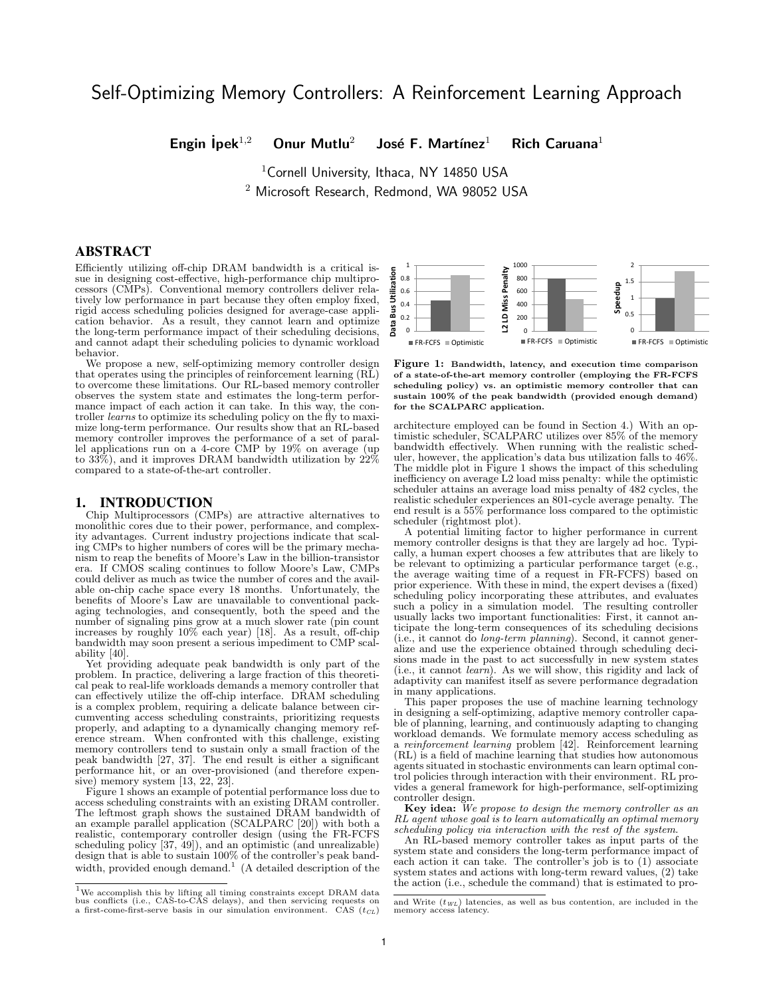Engin  $\mathbf{i}$ pek<sup>1,2</sup> Onur Mutlu<sup>2</sup> José F. Martínez<sup>1</sup> Rich Caruana<sup>1</sup>

 $1$ Cornell University, Ithaca, NY 14850 USA <sup>2</sup> Microsoft Research, Redmond, WA 98052 USA

# ABSTRACT

Efficiently utilizing off-chip DRAM bandwidth is a critical issue in designing cost-effective, high-performance chip multiprocessors (CMPs). Conventional memory controllers deliver relatively low performance in part because they often employ fixed, rigid access scheduling policies designed for average-case application behavior. As a result, they cannot learn and optimize the long-term performance impact of their scheduling decisions, and cannot adapt their scheduling policies to dynamic workload behavior.

We propose a new, self-optimizing memory controller design that operates using the principles of reinforcement learning (RL) to overcome these limitations. Our RL-based memory controller observes the system state and estimates the long-term performance impact of each action it can take. In this way, the controller *learns* to optimize its scheduling policy on the fly to maximize long-term performance. Our results show that an RL-based memory controller improves the performance of a set of parallel applications run on a 4-core CMP by 19% on average (up to  $33\%$ ), and it improves DRAM bandwidth utilization by  $22\%$ compared to a state-of-the-art controller.

# 1. INTRODUCTION

Chip Multiprocessors (CMPs) are attractive alternatives to monolithic cores due to their power, performance, and complexity advantages. Current industry projections indicate that scaling CMPs to higher numbers of cores will be the primary mechanism to reap the benefits of Moore's Law in the billion-transistor era. If CMOS scaling continues to follow Moore's Law, CMPs could deliver as much as twice the number of cores and the available on-chip cache space every 18 months. Unfortunately, the benefits of Moore's Law are unavailable to conventional packaging technologies, and consequently, both the speed and the number of signaling pins grow at a much slower rate (pin count increases by roughly 10% each year) [18]. As a result, off-chip bandwidth may soon present a serious impediment to CMP scalability [40].

Yet providing adequate peak bandwidth is only part of the problem. In practice, delivering a large fraction of this theoretical peak to real-life workloads demands a memory controller that can effectively utilize the off-chip interface. DRAM scheduling is a complex problem, requiring a delicate balance between circumventing access scheduling constraints, prioritizing requests properly, and adapting to a dynamically changing memory reference stream. When confronted with this challenge, existing memory controllers tend to sustain only a small fraction of the peak bandwidth [27, 37]. The end result is either a significant performance hit, or an over-provisioned (and therefore expensive) memory system [13, 22, 23].

Figure 1 shows an example of potential performance loss due to access scheduling constraints with an existing DRAM controller. The leftmost graph shows the sustained DRAM bandwidth of an example parallel application (SCALPARC [20]) with both a realistic, contemporary controller design (using the FR-FCFS scheduling policy [37, 49]), and an optimistic (and unrealizable) design that is able to sustain 100% of the controller's peak bandwidth, provided enough demand.<sup>1</sup> (A detailed description of the



Figure 1: Bandwidth, latency, and execution time comparison of a state-of-the-art memory controller (employing the FR-FCFS scheduling policy) vs. an optimistic memory controller that can sustain 100% of the peak bandwidth (provided enough demand) for the SCALPARC application.

architecture employed can be found in Section 4.) With an optimistic scheduler, SCALPARC utilizes over 85% of the memory bandwidth effectively. When running with the realistic scheduler, however, the application's data bus utilization falls to 46%. The middle plot in Figure 1 shows the impact of this scheduling inefficiency on average L2 load miss penalty: while the optimistic scheduler attains an average load miss penalty of 482 cycles, the realistic scheduler experiences an 801-cycle average penalty. The end result is a 55% performance loss compared to the optimistic scheduler (rightmost plot).

A potential limiting factor to higher performance in current memory controller designs is that they are largely ad hoc. Typically, a human expert chooses a few attributes that are likely to be relevant to optimizing a particular performance target (e.g., the average waiting time of a request in FR-FCFS) based on prior experience. With these in mind, the expert devises a (fixed) scheduling policy incorporating these attributes, and evaluates such a policy in a simulation model. The resulting controller usually lacks two important functionalities: First, it cannot anticipate the long-term consequences of its scheduling decisions (i.e., it cannot do long-term planning). Second, it cannot generalize and use the experience obtained through scheduling decisions made in the past to act successfully in new system states (i.e., it cannot  $learn$ ). As we will show, this rigidity and lack of adaptivity can manifest itself as severe performance degradation in many applications.

This paper proposes the use of machine learning technology in designing a self-optimizing, adaptive memory controller capable of planning, learning, and continuously adapting to changing workload demands. We formulate memory access scheduling as a reinforcement learning problem [42]. Reinforcement learning (RL) is a field of machine learning that studies how autonomous agents situated in stochastic environments can learn optimal control policies through interaction with their environment. RL provides a general framework for high-performance, self-optimizing controller design.

Key idea: We propose to design the memory controller as an  $RL$  agent whose goal is to learn automatically an optimal memory scheduling policy via interaction with the rest of the system.

An RL-based memory controller takes as input parts of the system state and considers the long-term performance impact of each action it can take. The controller's job is to (1) associate system states and actions with long-term reward values, (2) take the action (i.e., schedule the command) that is estimated to pro-

 $1$ We accomplish this by lifting all timing constraints except DRAM data bus conflicts (i.e., CAS-to-CAS delays), and then servicing requests on a first-come-first-serve basis in our simulation environment. CAS  $(t_{CL})$ 

and Write  $(t_{WL})$  latencies, as well as bus contention, are included in the memory access latency.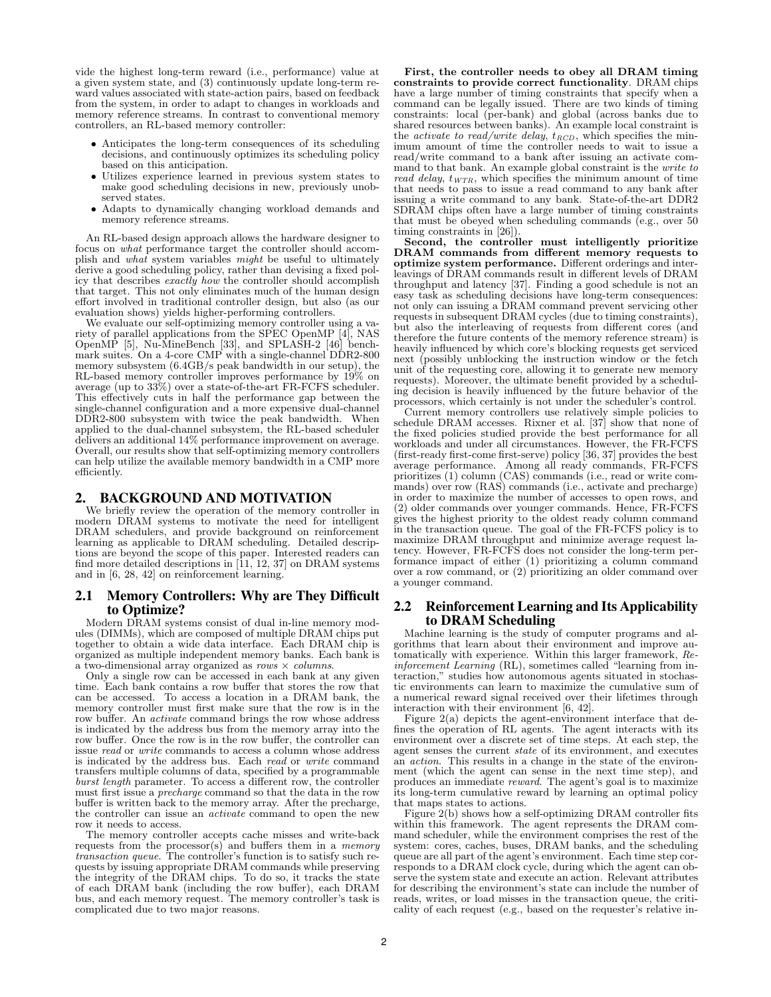vide the highest long-term reward (i.e., performance) value at a given system state, and (3) continuously update long-term reward values associated with state-action pairs, based on feedback from the system, in order to adapt to changes in workloads and memory reference streams. In contrast to conventional memory controllers, an RL-based memory controller:

- Anticipates the long-term consequences of its scheduling decisions, and continuously optimizes its scheduling policy based on this anticipation.
- Utilizes experience learned in previous system states to make good scheduling decisions in new, previously unobserved states.
- Adapts to dynamically changing workload demands and memory reference streams.

An RL-based design approach allows the hardware designer to focus on what performance target the controller should accomplish and what system variables might be useful to ultimately derive a good scheduling policy, rather than devising a fixed policy that describes exactly how the controller should accomplish that target. This not only eliminates much of the human design effort involved in traditional controller design, but also (as our evaluation shows) yields higher-performing controllers.

We evaluate our self-optimizing memory controller using a variety of parallel applications from the SPEC OpenMP [4], NAS OpenMP [5], Nu-MineBench [33], and SPLASH-2 [46] benchmark suites. On a 4-core CMP with a single-channel DDR2-800 memory subsystem (6.4GB/s peak bandwidth in our setup), the RL-based memory controller improves performance by 19% on average (up to 33%) over a state-of-the-art FR-FCFS scheduler. This effectively cuts in half the performance gap between the single-channel configuration and a more expensive dual-channel DDR2-800 subsystem with twice the peak bandwidth. When applied to the dual-channel subsystem, the RL-based scheduler delivers an additional 14% performance improvement on average. Overall, our results show that self-optimizing memory controllers can help utilize the available memory bandwidth in a CMP more efficiently.

# 2. BACKGROUND AND MOTIVATION

We briefly review the operation of the memory controller in modern DRAM systems to motivate the need for intelligent DRAM schedulers, and provide background on reinforcement learning as applicable to DRAM scheduling. Detailed descriptions are beyond the scope of this paper. Interested readers can find more detailed descriptions in [11, 12, 37] on DRAM systems and in [6, 28, 42] on reinforcement learning.

# 2.1 Memory Controllers: Why are They Difficult to Optimize?

Modern DRAM systems consist of dual in-line memory modules (DIMMs), which are composed of multiple DRAM chips put together to obtain a wide data interface. Each DRAM chip is organized as multiple independent memory banks. Each bank is a two-dimensional array organized as  $rows \times columns$ .

Only a single row can be accessed in each bank at any given time. Each bank contains a row buffer that stores the row that can be accessed. To access a location in a DRAM bank, the memory controller must first make sure that the row is in the row buffer. An *activate* command brings the row whose address is indicated by the address bus from the memory array into the row buffer. Once the row is in the row buffer, the controller can issue read or write commands to access a column whose address is indicated by the address bus. Each read or write command transfers multiple columns of data, specified by a programmable burst length parameter. To access a different row, the controller must first issue a precharge command so that the data in the row buffer is written back to the memory array. After the precharge, the controller can issue an activate command to open the new row it needs to access.

The memory controller accepts cache misses and write-back requests from the processor(s) and buffers them in a *memory* transaction queue. The controller's function is to satisfy such requests by issuing appropriate DRAM commands while preserving the integrity of the DRAM chips. To do so, it tracks the state of each DRAM bank (including the row buffer), each DRAM bus, and each memory request. The memory controller's task is complicated due to two major reasons.

First, the controller needs to obey all DRAM timing constraints to provide correct functionality. DRAM chips have a large number of timing constraints that specify when a command can be legally issued. There are two kinds of timing constraints: local (per-bank) and global (across banks due to shared resources between banks). An example local constraint is the *activate to read/write delay*,  $t_{RCD}$ , which specifies the minimum amount of time the controller needs to wait to issue a read/write command to a bank after issuing an activate command to that bank. An example global constraint is the write to read delay,  $t_{WTR}$ , which specifies the minimum amount of time that needs to pass to issue a read command to any bank after issuing a write command to any bank. State-of-the-art DDR2 SDRAM chips often have a large number of timing constraints that must be obeyed when scheduling commands (e.g., over 50 timing constraints in [26]).

Second, the controller must intelligently prioritize DRAM commands from different memory requests to optimize system performance. Different orderings and interleavings of DRAM commands result in different levels of DRAM throughput and latency [37]. Finding a good schedule is not an easy task as scheduling decisions have long-term consequences: not only can issuing a DRAM command prevent servicing other requests in subsequent DRAM cycles (due to timing constraints), but also the interleaving of requests from different cores (and therefore the future contents of the memory reference stream) is heavily influenced by which core's blocking requests get serviced next (possibly unblocking the instruction window or the fetch unit of the requesting core, allowing it to generate new memory requests). Moreover, the ultimate benefit provided by a scheduling decision is heavily influenced by the future behavior of the processors, which certainly is not under the scheduler's control.

Current memory controllers use relatively simple policies to schedule DRAM accesses. Rixner et al. [37] show that none of the fixed policies studied provide the best performance for all workloads and under all circumstances. However, the FR-FCFS (first-ready first-come first-serve) policy [36, 37] provides the best average performance. Among all ready commands, FR-FCFS prioritizes (1) column (CAS) commands (i.e., read or write commands) over row (RAS) commands (i.e., activate and precharge) in order to maximize the number of accesses to open rows, and (2) older commands over younger commands. Hence, FR-FCFS gives the highest priority to the oldest ready column command in the transaction queue. The goal of the FR-FCFS policy is to maximize DRAM throughput and minimize average request latency. However, FR-FCFS does not consider the long-term performance impact of either (1) prioritizing a column command over a row command, or (2) prioritizing an older command over a younger command.

# 2.2 Reinforcement Learning and Its Applicability to DRAM Scheduling

Machine learning is the study of computer programs and algorithms that learn about their environment and improve automatically with experience. Within this larger framework, Reinforcement Learning (RL), sometimes called "learning from interaction," studies how autonomous agents situated in stochastic environments can learn to maximize the cumulative sum of a numerical reward signal received over their lifetimes through interaction with their environment [6, 42].

Figure 2(a) depicts the agent-environment interface that defines the operation of RL agents. The agent interacts with its environment over a discrete set of time steps. At each step, the agent senses the current state of its environment, and executes an action. This results in a change in the state of the environment (which the agent can sense in the next time step), and produces an immediate reward. The agent's goal is to maximize its long-term cumulative reward by learning an optimal policy that maps states to actions.

Figure 2(b) shows how a self-optimizing DRAM controller fits within this framework. The agent represents the DRAM command scheduler, while the environment comprises the rest of the system: cores, caches, buses, DRAM banks, and the scheduling queue are all part of the agent's environment. Each time step corresponds to a DRAM clock cycle, during which the agent can observe the system state and execute an action. Relevant attributes for describing the environment's state can include the number of reads, writes, or load misses in the transaction queue, the criticality of each request (e.g., based on the requester's relative in-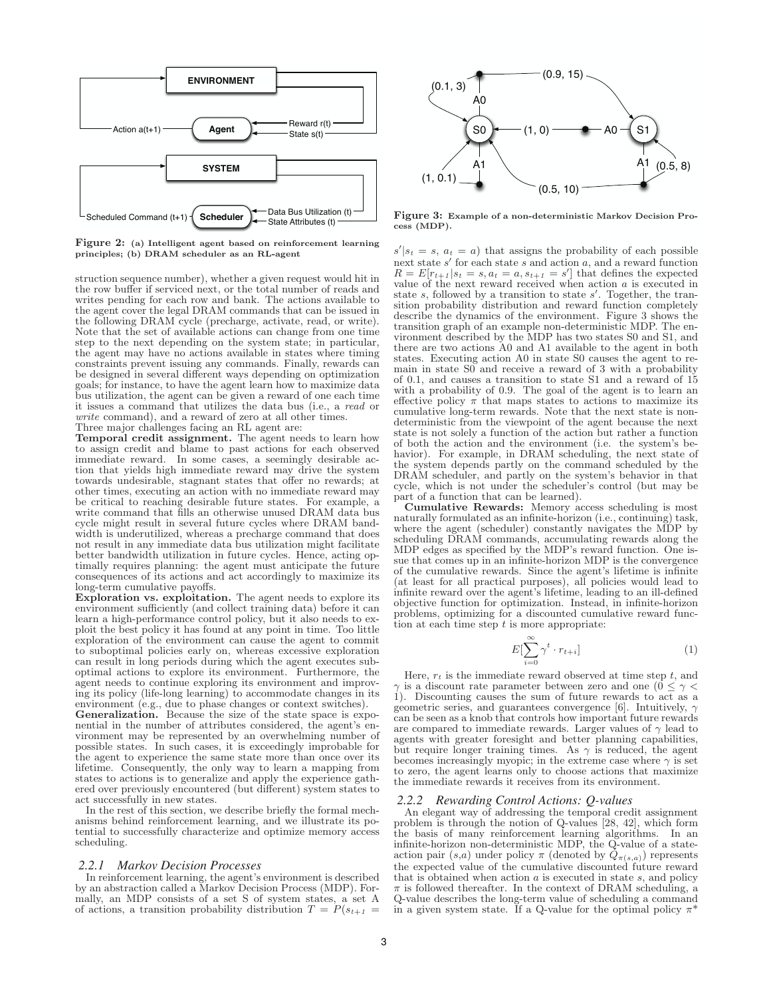

Figure 2: (a) Intelligent agent based on reinforcement learning principles; (b) DRAM scheduler as an RL-agent

struction sequence number), whether a given request would hit in the row buffer if serviced next, or the total number of reads and writes pending for each row and bank. The actions available to the agent cover the legal DRAM commands that can be issued in the following DRAM cycle (precharge, activate, read, or write). Note that the set of available actions can change from one time step to the next depending on the system state; in particular, the agent may have no actions available in states where timing constraints prevent issuing any commands. Finally, rewards can be designed in several different ways depending on optimization goals; for instance, to have the agent learn how to maximize data bus utilization, the agent can be given a reward of one each time it issues a command that utilizes the data bus (i.e., a read or write command), and a reward of zero at all other times.

Three major challenges facing an RL agent are:

Temporal credit assignment. The agent needs to learn how to assign credit and blame to past actions for each observed immediate reward. In some cases, a seemingly desirable action that yields high immediate reward may drive the system towards undesirable, stagnant states that offer no rewards; at other times, executing an action with no immediate reward may be critical to reaching desirable future states. For example, a write command that fills an otherwise unused DRAM data bus cycle might result in several future cycles where DRAM bandwidth is underutilized, whereas a precharge command that does not result in any immediate data bus utilization might facilitate better bandwidth utilization in future cycles. Hence, acting optimally requires planning: the agent must anticipate the future consequences of its actions and act accordingly to maximize its long-term cumulative payoffs.

Exploration vs. exploitation. The agent needs to explore its environment sufficiently (and collect training data) before it can learn a high-performance control policy, but it also needs to exploit the best policy it has found at any point in time. Too little exploration of the environment can cause the agent to commit to suboptimal policies early on, whereas excessive exploration can result in long periods during which the agent executes suboptimal actions to explore its environment. Furthermore, the agent needs to continue exploring its environment and improving its policy (life-long learning) to accommodate changes in its environment (e.g., due to phase changes or context switches).

Generalization. Because the size of the state space is exponential in the number of attributes considered, the agent's environment may be represented by an overwhelming number of possible states. In such cases, it is exceedingly improbable for the agent to experience the same state more than once over its lifetime. Consequently, the only way to learn a mapping from states to actions is to generalize and apply the experience gathered over previously encountered (but different) system states to act successfully in new states.

In the rest of this section, we describe briefly the formal mechanisms behind reinforcement learning, and we illustrate its potential to successfully characterize and optimize memory access scheduling.

#### *2.2.1 Markov Decision Processes*

In reinforcement learning, the agent's environment is described by an abstraction called a Markov Decision Process (MDP). Formally, an MDP consists of a set S of system states, a set A of actions, a transition probability distribution  $T = P(s_{t+1})$ 



Figure 3: Example of a non-deterministic Markov Decision Process (MDP).

 $s'|s_t = s, a_t = a$ ) that assigns the probability of each possible next state  $s'$  for each state  $s$  and action  $a$ , and a reward function  $R = E[r_{t+1} | s_t = s, a_t = a, s_{t+1} = s']$  that defines the expected value of the next reward received when action  $a$  is executed in state s, followed by a transition to state  $s'$ . Together, the transition probability distribution and reward function completely describe the dynamics of the environment. Figure 3 shows the transition graph of an example non-deterministic MDP. The environment described by the MDP has two states S0 and S1, and there are two actions A0 and A1 available to the agent in both states. Executing action A0 in state S0 causes the agent to remain in state  $S_0$  and receive a reward of 3 with a probability of 0.1, and causes a transition to state S1 and a reward of 15 with a probability of 0.9. The goal of the agent is to learn an effective policy  $\pi$  that maps states to actions to maximize its cumulative long-term rewards. Note that the next state is nondeterministic from the viewpoint of the agent because the next state is not solely a function of the action but rather a function of both the action and the environment (i.e. the system's behavior). For example, in DRAM scheduling, the next state of the system depends partly on the command scheduled by the DRAM scheduler, and partly on the system's behavior in that cycle, which is not under the scheduler's control (but may be part of a function that can be learned).

Cumulative Rewards: Memory access scheduling is most naturally formulated as an infinite-horizon (i.e., continuing) task, where the agent (scheduler) constantly navigates the MDP by scheduling DRAM commands, accumulating rewards along the MDP edges as specified by the MDP's reward function. One issue that comes up in an infinite-horizon MDP is the convergence of the cumulative rewards. Since the agent's lifetime is infinite (at least for all practical purposes), all policies would lead to infinite reward over the agent's lifetime, leading to an ill-defined objective function for optimization. Instead, in infinite-horizon problems, optimizing for a discounted cumulative reward function at each time step  $t$  is more appropriate:

$$
E[\sum_{i=0}^{\infty} \gamma^t \cdot r_{t+i}] \tag{1}
$$

Here,  $r_t$  is the immediate reward observed at time step t, and  $\gamma$  is a discount rate parameter between zero and one ( $0 \leq \gamma$ ) 1). Discounting causes the sum of future rewards to act as a geometric series, and guarantees convergence [6]. Intuitively,  $\gamma$ can be seen as a knob that controls how important future rewards are compared to immediate rewards. Larger values of  $\gamma$  lead to agents with greater foresight and better planning capabilities, but require longer training times. As  $\gamma$  is reduced, the agent becomes increasingly myopic; in the extreme case where  $\gamma$  is set to zero, the agent learns only to choose actions that maximize the immediate rewards it receives from its environment.

#### *2.2.2 Rewarding Control Actions: Q-values*

An elegant way of addressing the temporal credit assignment problem is through the notion of Q-values [28, 42], which form the basis of many reinforcement learning algorithms. In an infinite-horizon non-deterministic MDP, the Q-value of a stateaction pair  $(s,a)$  under policy  $\pi$  (denoted by  $Q_{\pi(s,a)}$ ) represents the expected value of the cumulative discounted future reward that is obtained when action  $a$  is executed in state  $s$ , and policy  $\pi$  is followed thereafter. In the context of DRAM scheduling, a Q-value describes the long-term value of scheduling a command in a given system state. If a Q-value for the optimal policy  $\pi^*$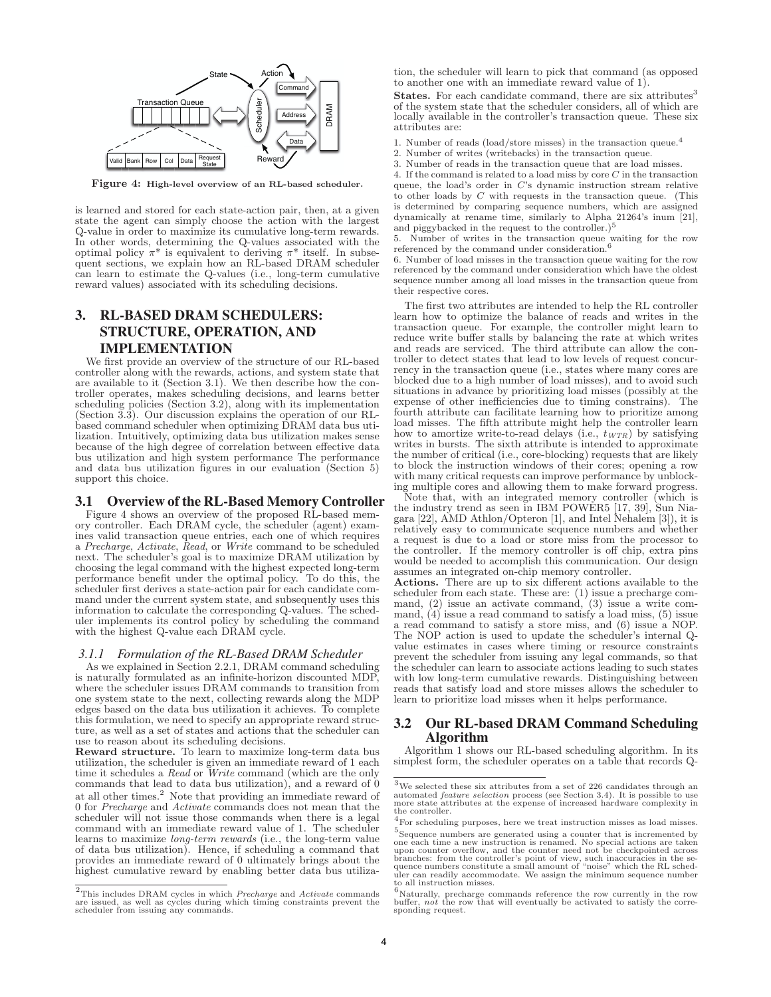

Figure 4: High-level overview of an RL-based scheduler.

is learned and stored for each state-action pair, then, at a given state the agent can simply choose the action with the largest Q-value in order to maximize its cumulative long-term rewards. In other words, determining the Q-values associated with the optimal policy  $\pi^*$  is equivalent to deriving  $\pi^*$  itself. In subsequent sections, we explain how an RL-based DRAM scheduler can learn to estimate the Q-values (i.e., long-term cumulative reward values) associated with its scheduling decisions.

# 3. RL-BASED DRAM SCHEDULERS: STRUCTURE, OPERATION, AND IMPLEMENTATION

We first provide an overview of the structure of our RL-based controller along with the rewards, actions, and system state that are available to it (Section 3.1). We then describe how the controller operates, makes scheduling decisions, and learns better scheduling policies (Section 3.2), along with its implementation (Section 3.3). Our discussion explains the operation of our RLbased command scheduler when optimizing DRAM data bus utilization. Intuitively, optimizing data bus utilization makes sense because of the high degree of correlation between effective data bus utilization and high system performance The performance and data bus utilization figures in our evaluation (Section 5) support this choice.

## 3.1 Overview of the RL-Based Memory Controller

Figure 4 shows an overview of the proposed RL-based memory controller. Each DRAM cycle, the scheduler (agent) examines valid transaction queue entries, each one of which requires a Precharge, Activate, Read, or Write command to be scheduled next. The scheduler's goal is to maximize DRAM utilization by choosing the legal command with the highest expected long-term performance benefit under the optimal policy. To do this, the scheduler first derives a state-action pair for each candidate command under the current system state, and subsequently uses this information to calculate the corresponding Q-values. The scheduler implements its control policy by scheduling the command with the highest Q-value each DRAM cycle.

#### *3.1.1 Formulation of the RL-Based DRAM Scheduler*

As we explained in Section 2.2.1, DRAM command scheduling is naturally formulated as an infinite-horizon discounted MDP where the scheduler issues DRAM commands to transition from one system state to the next, collecting rewards along the MDP edges based on the data bus utilization it achieves. To complete this formulation, we need to specify an appropriate reward structure, as well as a set of states and actions that the scheduler can use to reason about its scheduling decisions.

Reward structure. To learn to maximize long-term data bus utilization, the scheduler is given an immediate reward of 1 each time it schedules a Read or Write command (which are the only commands that lead to data bus utilization), and a reward of 0 at all other times.<sup>2</sup> Note that providing an immediate reward of 0 for Precharge and Activate commands does not mean that the scheduler will not issue those commands when there is a legal command with an immediate reward value of 1. The scheduler learns to maximize long-term rewards (i.e., the long-term value of data bus utilization). Hence, if scheduling a command that provides an immediate reward of 0 ultimately brings about the highest cumulative reward by enabling better data bus utilization, the scheduler will learn to pick that command (as opposed to another one with an immediate reward value of 1).

States. For each candidate command, there are six attributes<sup>3</sup> of the system state that the scheduler considers, all of which are locally available in the controller's transaction queue. These six attributes are:

1. Number of reads (load/store misses) in the transaction queue. 4

2. Number of writes (writebacks) in the transaction queue.

3. Number of reads in the transaction queue that are load misses.

4. If the command is related to a load miss by core C in the transaction queue, the load's order in C's dynamic instruction stream relative to other loads by  $C$  with requests in the transaction queue. (This is determined by comparing sequence numbers, which are assigned dynamically at rename time, similarly to Alpha 21264's inum [21], and piggybacked in the request to the controller.)<sup>5</sup>

5. Number of writes in the transaction queue waiting for the row referenced by the command under consideration.<sup>6</sup>

6. Number of load misses in the transaction queue waiting for the row referenced by the command under consideration which have the oldest sequence number among all load misses in the transaction queue from their respective cores.

The first two attributes are intended to help the RL controller learn how to optimize the balance of reads and writes in the transaction queue. For example, the controller might learn to reduce write buffer stalls by balancing the rate at which writes and reads are serviced. The third attribute can allow the controller to detect states that lead to low levels of request concurrency in the transaction queue (i.e., states where many cores are blocked due to a high number of load misses), and to avoid such situations in advance by prioritizing load misses (possibly at the expense of other inefficiencies due to timing constrains). The fourth attribute can facilitate learning how to prioritize among load misses. The fifth attribute might help the controller learn how to amortize write-to-read delays (i.e.,  $t_{WTR}$ ) by satisfying writes in bursts. The sixth attribute is intended to approximate the number of critical (i.e., core-blocking) requests that are likely to block the instruction windows of their cores; opening a row with many critical requests can improve performance by unblocking multiple cores and allowing them to make forward progress.

Note that, with an integrated memory controller (which is the industry trend as seen in IBM POWER5 [17, 39], Sun Niagara [22], AMD Athlon/Opteron [1], and Intel Nehalem [3]), it is relatively easy to communicate sequence numbers and whether a request is due to a load or store miss from the processor to the controller. If the memory controller is off chip, extra pins would be needed to accomplish this communication. Our design assumes an integrated on-chip memory controller.

Actions. There are up to six different actions available to the scheduler from each state. These are: (1) issue a precharge command, (2) issue an activate command, (3) issue a write command,  $(4)$  issue a read command to satisfy a load miss,  $(5)$  issue a read command to satisfy a store miss, and (6) issue a NOP. The NOP action is used to update the scheduler's internal Qvalue estimates in cases where timing or resource constraints prevent the scheduler from issuing any legal commands, so that the scheduler can learn to associate actions leading to such states with low long-term cumulative rewards. Distinguishing between reads that satisfy load and store misses allows the scheduler to learn to prioritize load misses when it helps performance.

# 3.2 Our RL-based DRAM Command Scheduling Algorithm

Algorithm 1 shows our RL-based scheduling algorithm. In its simplest form, the scheduler operates on a table that records Q-

 $\overline{P_{\text{2}}}$ This includes DRAM cycles in which *Precharge* and *Activate* commands are issued, as well as cycles during which timing constraints prevent the scheduler from issuing any commands.

 $3$ We selected these six attributes from a set of 226 candidates through an automated *feature selection* process (see Section 3.4). It is possible to use more state attributes at the expense of increased hardware complex the controller.

 $^4\!$  For scheduling purposes, here we treat instruction misses as load misses. 5 Sequence numbers are generated using a counter that is incremented by one each time a new instruction is renamed. No special actions are taken upon counter overflow, and the counter need not be checkpointed across branches: from the controller's point of view, such inaccuracies in the se-quence numbers constitute a small amount of "noise" which the RL sched-uler can readily accommodate. We assign the minimum sequence number to all instruction misses.

 $6$ Naturally, precharge commands reference the row currently in the row buffer, not the row that will eventually be activated to satisfy the corresponding request.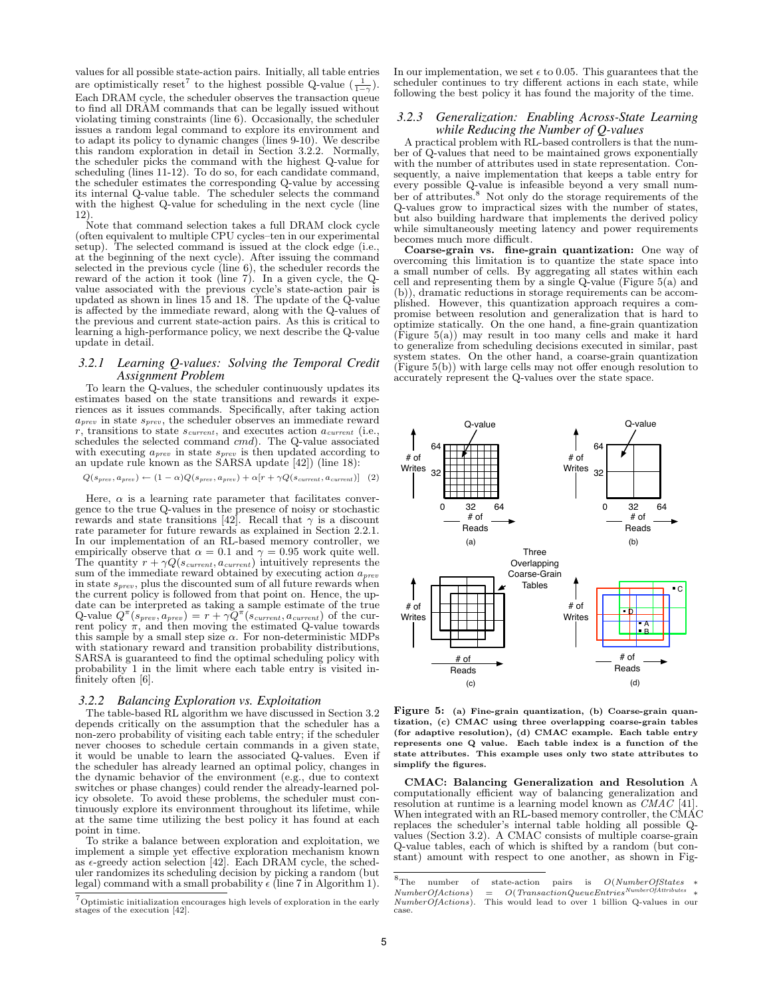values for all possible state-action pairs. Initially, all table entries are optimistically reset<sup>7</sup> to the highest possible Q-value  $(\frac{1}{1-\gamma})$ . Each DRAM cycle, the scheduler observes the transaction queue to find all DRAM commands that can be legally issued without violating timing constraints (line 6). Occasionally, the scheduler issues a random legal command to explore its environment and to adapt its policy to dynamic changes (lines 9-10). We describe this random exploration in detail in Section 3.2.2. Normally, the scheduler picks the command with the highest Q-value for scheduling (lines 11-12). To do so, for each candidate command, the scheduler estimates the corresponding Q-value by accessing its internal Q-value table. The scheduler selects the command with the highest Q-value for scheduling in the next cycle (line 12).

Note that command selection takes a full DRAM clock cycle (often equivalent to multiple CPU cycles–ten in our experimental The selected command is issued at the clock edge (i.e., at the beginning of the next cycle). After issuing the command selected in the previous cycle (line 6), the scheduler records the reward of the action it took (line 7). In a given cycle, the Qvalue associated with the previous cycle's state-action pair is updated as shown in lines 15 and 18. The update of the Q-value is affected by the immediate reward, along with the Q-values of the previous and current state-action pairs. As this is critical to learning a high-performance policy, we next describe the Q-value update in detail.

### *3.2.1 Learning Q-values: Solving the Temporal Credit Assignment Problem*

To learn the Q-values, the scheduler continuously updates its estimates based on the state transitions and rewards it experiences as it issues commands. Specifically, after taking action  $a_{prev}$  in state  $s_{prev}$ , the scheduler observes an immediate reward r, transitions to state  $s_{current}$ , and executes action  $a_{current}$  (i.e., schedules the selected command cmd). The Q-value associated with executing  $a_{prev}$  in state  $s_{prev}$  is then updated according to an update rule known as the SARSA update [42]) (line 18):

$$
Q(s_{prev}, a_{prev}) \leftarrow (1 - \alpha)Q(s_{prev}, a_{prev}) + \alpha[r + \gamma Q(s_{current}, a_{current})]
$$
 (2)

Here,  $\alpha$  is a learning rate parameter that facilitates convergence to the true Q-values in the presence of noisy or stochastic rewards and state transitions [42]. Recall that  $\gamma$  is a discount rate parameter for future rewards as explained in Section 2.2.1. In our implementation of an RL-based memory controller, we empirically observe that  $\alpha = 0.1$  and  $\gamma = 0.95$  work quite well. The quantity  $r + \gamma Q(s_{current}, a_{current})$  intuitively represents the sum of the immediate reward obtained by executing action  $a_{prev}$ in state  $s_{prev}$ , plus the discounted sum of all future rewards when the current policy is followed from that point on. Hence, the update can be interpreted as taking a sample estimate of the true Q-value  $Q^{\pi}(s_{prev}, a_{prev}) = r + \gamma Q^{\pi}(s_{current}, a_{current})$  of the current policy  $\pi$ , and then moving the estimated Q-value towards this sample by a small step size  $\alpha$ . For non-deterministic MDPs with stationary reward and transition probability distributions, SARSA is guaranteed to find the optimal scheduling policy with probability 1 in the limit where each table entry is visited infinitely often [6].

#### *3.2.2 Balancing Exploration vs. Exploitation*

The table-based RL algorithm we have discussed in Section 3.2 depends critically on the assumption that the scheduler has a non-zero probability of visiting each table entry; if the scheduler never chooses to schedule certain commands in a given state, it would be unable to learn the associated Q-values. Even if the scheduler has already learned an optimal policy, changes in the dynamic behavior of the environment (e.g., due to context switches or phase changes) could render the already-learned policy obsolete. To avoid these problems, the scheduler must continuously explore its environment throughout its lifetime, while at the same time utilizing the best policy it has found at each point in time.

To strike a balance between exploration and exploitation, we implement a simple yet effective exploration mechanism known as  $\epsilon$ -greedy action selection [42]. Each DRAM cycle, the scheduler randomizes its scheduling decision by picking a random (but legal) command with a small probability  $\epsilon$  (line 7 in Algorithm 1).

In our implementation, we set  $\epsilon$  to 0.05. This guarantees that the scheduler continues to try different actions in each state, while following the best policy it has found the majority of the time.

### *3.2.3 Generalization: Enabling Across-State Learning while Reducing the Number of Q-values*

A practical problem with RL-based controllers is that the number of Q-values that need to be maintained grows exponentially with the number of attributes used in state representation. Consequently, a naive implementation that keeps a table entry for every possible Q-value is infeasible beyond a very small number of attributes.<sup>8</sup> Not only do the storage requirements of the Q-values grow to impractical sizes with the number of states, but also building hardware that implements the derived policy while simultaneously meeting latency and power requirements becomes much more difficult.

Coarse-grain vs. fine-grain quantization: One way of overcoming this limitation is to quantize the state space into a small number of cells. By aggregating all states within each cell and representing them by a single  $\widetilde{Q}$ -value (Figure 5(a) and (b)), dramatic reductions in storage requirements can be accomplished. However, this quantization approach requires a compromise between resolution and generalization that is hard to optimize statically. On the one hand, a fine-grain quantization (Figure 5(a)) may result in too many cells and make it hard to generalize from scheduling decisions executed in similar, past system states. On the other hand, a coarse-grain quantization (Figure 5(b)) with large cells may not offer enough resolution to accurately represent the Q-values over the state space.



Figure 5: (a) Fine-grain quantization, (b) Coarse-grain quantization, (c) CMAC using three overlapping coarse-grain tables (for adaptive resolution), (d) CMAC example. Each table entry represents one Q value. Each table index is a function of the state attributes. This example uses only two state attributes to simplify the figures.

CMAC: Balancing Generalization and Resolution A computationally efficient way of balancing generalization and resolution at runtime is a learning model known as  $CMAC$ When integrated with an RL-based memory controller, the CMAC replaces the scheduler's internal table holding all possible Qvalues (Section 3.2). A CMAC consists of multiple coarse-grain Q-value tables, each of which is shifted by a random (but constant) amount with respect to one another, as shown in Fig-

<sup>7</sup>Optimistic initialization encourages high levels of exploration in the early stages of the execution [42].

 $\begin{array}{lclcl} \text{$^8$The} & \text{number of} & \text{state-action} & \text{pairs} & \text{is} & O(NumberOfStates*\\ NumberOf Actions) & = & O(TransactionQueueEntries^{NumberOfAttributes} & \ast \\ \end{array}$  $=$  O(TransactionQueueEntries<sup>NumberOfAttributes</sup> NumberOfActions). This would lead to over 1 billion Q-values in our case.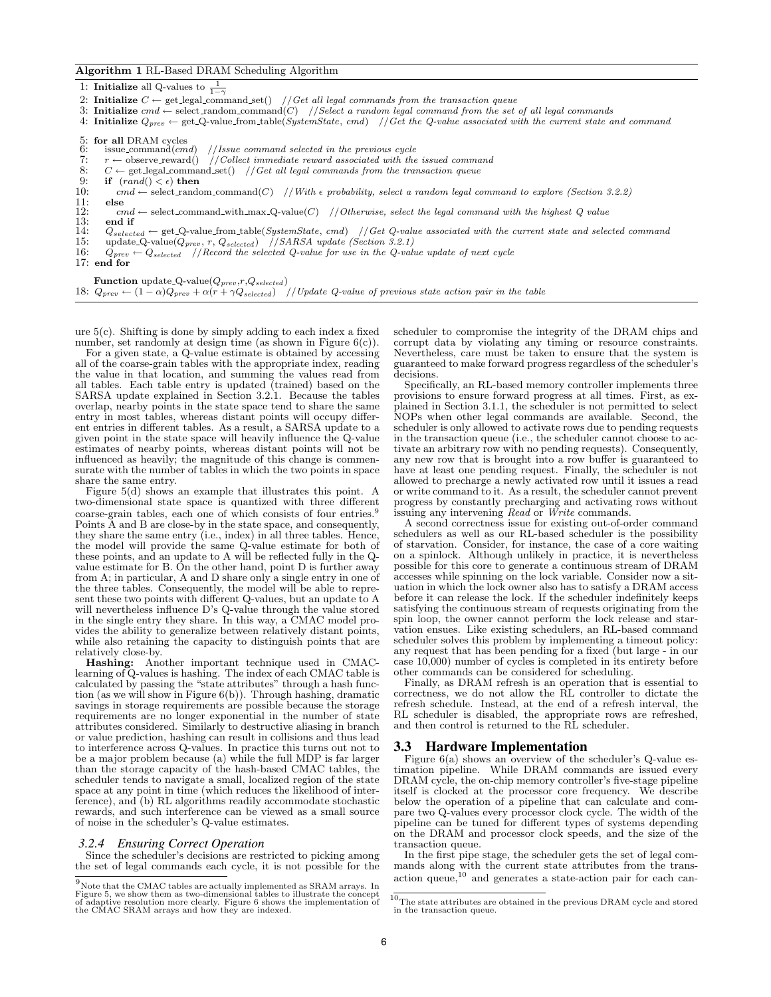Algorithm 1 RL-Based DRAM Scheduling Algorithm

1: **Initialize** all Q-values to  $\frac{1}{1-\gamma}$ 

- 2: Initialize  $C \leftarrow$  get legal command set() //Get all legal commands from the transaction queue
- 3: Initialize cmd ← select\_random\_command(C) //Select a random legal command from the set of all legal commands
- 4: Initialize  $Q_{prev} \leftarrow$  get Q-value from table(SystemState, cmd) //Get the Q-value associated with the current state and command

5: for all DRAM cycles<br>6: issue\_command( $cm$ 

- 6: issue command(cmd) //Issue command selected in the previous cycle 7:  $r \leftarrow$  observe reward() //Collect immediate reward associated with the
- 7:  $r \leftarrow$  observe reward() //Collect immediate reward associated with the issued command 8:  $C \leftarrow$  get legal command set() //Cet all legal commands from the transaction queue
- 8:  $C \leftarrow$  get legal command set() //Get all legal commands from the transaction queue<br>9: if  $(rand() \leq \epsilon)$  then
- 9: if  $(rand() < \epsilon)$  then<br>10:  $cmd \leftarrow \text{select\_rand}$

10: cmd ← select random command(C) //With  $\epsilon$  probability, select a random legal command to explore (Section 3.2.2)<br>11: else

11:  $else$ <br>12:  $cr$ 12: cmd ← select command with max Q-value(C) //Otherwise, select the legal command with the highest Q value<br>13: **end if**<br>14:  $Q_{calated} \leftarrow$  get Q-value from table(*SustemState, cmd)* //Get Q-value associated with the current

end if

- $14: Q_{selected} \leftarrow \text{get-Q-value}$  from table(SystemState, cmd) //Get Q-value associated with the current state and selected command
- 15: update Q-value( $Q_{prev}$ , r,  $Q_{selected}$ ) //SARSA update (Section 3.2.1)
- 16:  $Q_{prev} \leftarrow Q_{selected}$  //Record the selected Q-value for use in the Q-value update of next cycle

17: end for

Function update Q-value $(Q_{prev}, r, Q_{selected})$ 

18:  $Q_{prev} \leftarrow (1-\alpha)Q_{prev} + \alpha(r+\gamma Q_{selected})$  //Update Q-value of previous state action pair in the table

ure 5(c). Shifting is done by simply adding to each index a fixed number, set randomly at design time (as shown in Figure  $6(c)$ ).

For a given state, a Q-value estimate is obtained by accessing all of the coarse-grain tables with the appropriate index, reading the value in that location, and summing the values read from all tables. Each table entry is updated (trained) based on the SARSA update explained in Section 3.2.1. Because the tables overlap, nearby points in the state space tend to share the same entry in most tables, whereas distant points will occupy different entries in different tables. As a result, a SARSA update to a given point in the state space will heavily influence the Q-value estimates of nearby points, whereas distant points will not be influenced as heavily; the magnitude of this change is commensurate with the number of tables in which the two points in space share the same entry.

Figure 5(d) shows an example that illustrates this point. A two-dimensional state space is quantized with three different coarse-grain tables, each one of which consists of four entries.<sup>9</sup> Points A and B are close-by in the state space, and consequently, they share the same entry (i.e., index) in all three tables. Hence, the model will provide the same Q-value estimate for both of these points, and an update to A will be reflected fully in the Qvalue estimate for B. On the other hand, point D is further away from A; in particular, A and D share only a single entry in one of the three tables. Consequently, the model will be able to represent these two points with different Q-values, but an update to A will nevertheless influence D's Q-value through the value stored in the single entry they share. In this way, a CMAC model provides the ability to generalize between relatively distant points, while also retaining the capacity to distinguish points that are relatively close-by.

Hashing: Another important technique used in CMAClearning of Q-values is hashing. The index of each CMAC table is calculated by passing the "state attributes" through a hash function (as we will show in Figure 6(b)). Through hashing, dramatic savings in storage requirements are possible because the storage requirements are no longer exponential in the number of state attributes considered. Similarly to destructive aliasing in branch or value prediction, hashing can result in collisions and thus lead to interference across Q-values. In practice this turns out not to be a major problem because (a) while the full MDP is far larger than the storage capacity of the hash-based CMAC tables, the scheduler tends to navigate a small, localized region of the state space at any point in time (which reduces the likelihood of interference), and (b) RL algorithms readily accommodate stochastic rewards, and such interference can be viewed as a small source of noise in the scheduler's Q-value estimates.

#### *3.2.4 Ensuring Correct Operation*

Since the scheduler's decisions are restricted to picking among the set of legal commands each cycle, it is not possible for the scheduler to compromise the integrity of the DRAM chips and corrupt data by violating any timing or resource constraints. Nevertheless, care must be taken to ensure that the system is guaranteed to make forward progress regardless of the scheduler's decisions.

Specifically, an RL-based memory controller implements three provisions to ensure forward progress at all times. First, as explained in Section 3.1.1, the scheduler is not permitted to select NOPs when other legal commands are available. Second, the scheduler is only allowed to activate rows due to pending requests in the transaction queue (i.e., the scheduler cannot choose to activate an arbitrary row with no pending requests). Consequently, any new row that is brought into a row buffer is guaranteed to have at least one pending request. Finally, the scheduler is not allowed to precharge a newly activated row until it issues a read or write command to it. As a result, the scheduler cannot prevent progress by constantly precharging and activating rows without issuing any intervening Read or Write commands.

A second correctness issue for existing out-of-order command schedulers as well as our RL-based scheduler is the possibility of starvation. Consider, for instance, the case of a core waiting on a spinlock. Although unlikely in practice, it is nevertheless possible for this core to generate a continuous stream of DRAM accesses while spinning on the lock variable. Consider now a situation in which the lock owner also has to satisfy a DRAM access before it can release the lock. If the scheduler indefinitely keeps satisfying the continuous stream of requests originating from the spin loop, the owner cannot perform the lock release and starvation ensues. Like existing schedulers, an RL-based command scheduler solves this problem by implementing a timeout policy: any request that has been pending for a fixed (but large - in our case 10,000) number of cycles is completed in its entirety before other commands can be considered for scheduling.

Finally, as DRAM refresh is an operation that is essential to correctness, we do not allow the RL controller to dictate the refresh schedule. Instead, at the end of a refresh interval, the RL scheduler is disabled, the appropriate rows are refreshed, and then control is returned to the RL scheduler.

#### 3.3 Hardware Implementation

Figure 6(a) shows an overview of the scheduler's Q-value estimation pipeline. While DRAM commands are issued every DRAM cycle, the on-chip memory controller's five-stage pipeline itself is clocked at the processor core frequency. We describe below the operation of a pipeline that can calculate and compare two Q-values every processor clock cycle. The width of the pipeline can be tuned for different types of systems depending on the DRAM and processor clock speeds, and the size of the transaction queue.

In the first pipe stage, the scheduler gets the set of legal commands along with the current state attributes from the transaction queue, $^{10}$  and generates a state-action pair for each can-

 $^9\rm{Note that}$  the CMAC tables are actually implemented as SRAM arrays. In Figure 5, we show them as two-dimensional tables to illustrate the concept of adaptive resolution more clearly. Figure 6 shows the implementation of the CMAC SRAM arrays and how they are indexed.

 $^{10}$  The state attributes are obtained in the previous DRAM cycle and stored in the transaction queue.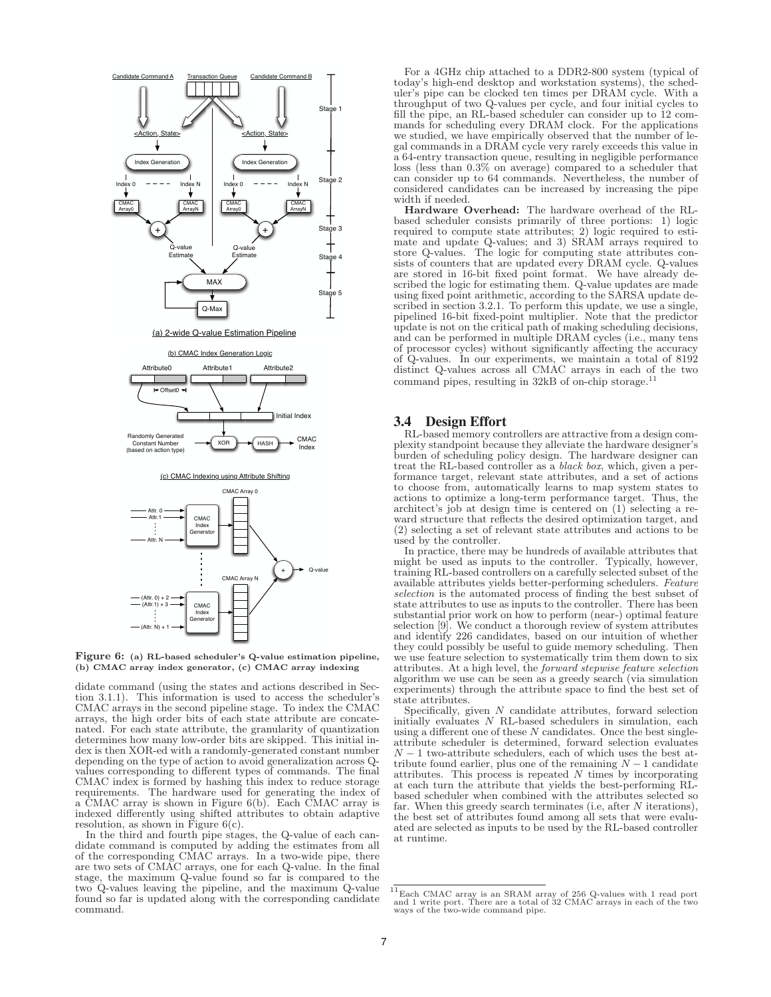

Figure 6: (a) RL-based scheduler's Q-value estimation pipeline, (b) CMAC array index generator, (c) CMAC array indexing

didate command (using the states and actions described in Section 3.1.1). This information is used to access the scheduler's CMAC arrays in the second pipeline stage. To index the CMAC arrays, the high order bits of each state attribute are concatenated. For each state attribute, the granularity of quantization determines how many low-order bits are skipped. This initial index is then XOR-ed with a randomly-generated constant number depending on the type of action to avoid generalization across Qvalues corresponding to different types of commands. The final CMAC index is formed by hashing this index to reduce storage requirements. The hardware used for generating the index of a CMAC array is shown in Figure 6(b). Each CMAC array is indexed differently using shifted attributes to obtain adaptive resolution, as shown in Figure  $6(c)$ .

In the third and fourth pipe stages, the Q-value of each candidate command is computed by adding the estimates from all of the corresponding CMAC arrays. In a two-wide pipe, there are two sets of CMAC arrays, one for each Q-value. In the final stage, the maximum Q-value found so far is compared to the two Q-values leaving the pipeline, and the maximum Q-value found so far is updated along with the corresponding candidate command.

For a 4GHz chip attached to a DDR2-800 system (typical of today's high-end desktop and workstation systems), the scheduler's pipe can be clocked ten times per DRAM cycle. With a throughput of two Q-values per cycle, and four initial cycles to fill the pipe, an RL-based scheduler can consider up to 12 commands for scheduling every DRAM clock. For the applications we studied, we have empirically observed that the number of legal commands in a DRAM cycle very rarely exceeds this value in a 64-entry transaction queue, resulting in negligible performance loss (less than 0.3% on average) compared to a scheduler that can consider up to 64 commands. Nevertheless, the number of considered candidates can be increased by increasing the pipe width if needed.

Hardware Overhead: The hardware overhead of the RLbased scheduler consists primarily of three portions: 1) logic required to compute state attributes; 2) logic required to estimate and update Q-values; and 3) SRAM arrays required to store Q-values. The logic for computing state attributes consists of counters that are updated every DRAM cycle. Q-values are stored in 16-bit fixed point format. We have already described the logic for estimating them. Q-value updates are made using fixed point arithmetic, according to the SARSA update described in section 3.2.1. To perform this update, we use a single, pipelined 16-bit fixed-point multiplier. Note that the predictor update is not on the critical path of making scheduling decisions, and can be performed in multiple DRAM cycles (i.e., many tens of processor cycles) without significantly affecting the accuracy of Q-values. In our experiments, we maintain a total of 8192 distinct Q-values across all CMAC arrays in each of the two command pipes, resulting in 32kB of on-chip storage.<sup>11</sup>

#### 3.4 Design Effort

RL-based memory controllers are attractive from a design complexity standpoint because they alleviate the hardware designer's burden of scheduling policy design. The hardware designer can treat the RL-based controller as a black box, which, given a performance target, relevant state attributes, and a set of actions to choose from, automatically learns to map system states to actions to optimize a long-term performance target. Thus, the architect's job at design time is centered on (1) selecting a reward structure that reflects the desired optimization target, and (2) selecting a set of relevant state attributes and actions to be used by the controller.

In practice, there may be hundreds of available attributes that might be used as inputs to the controller. Typically, however, training RL-based controllers on a carefully selected subset of the available attributes yields better-performing schedulers. Feature selection is the automated process of finding the best subset of state attributes to use as inputs to the controller. There has been substantial prior work on how to perform (near-) optimal feature selection [9]. We conduct a thorough review of system attributes and identify 226 candidates, based on our intuition of whether they could possibly be useful to guide memory scheduling. Then we use feature selection to systematically trim them down to six attributes. At a high level, the forward stepwise feature selection algorithm we use can be seen as a greedy search (via simulation experiments) through the attribute space to find the best set of state attributes.

Specifically, given  $N$  candidate attributes, forward selection initially evaluates  $N$  RL-based schedulers in simulation, each using a different one of these  $N$  candidates. Once the best singleattribute scheduler is determined, forward selection evaluates  $N-1$  two-attribute schedulers, each of which uses the best attribute found earlier, plus one of the remaining  $N-1$  candidate attributes. This process is repeated  $N$  times by incorporating at each turn the attribute that yields the best-performing RLbased scheduler when combined with the attributes selected so far. When this greedy search terminates (i.e, after  $N$  iterations), the best set of attributes found among all sets that were evaluated are selected as inputs to be used by the RL-based controller at runtime.

 $11$ Each CMAC array is an SRAM array of 256 Q-values with 1 read port and 1 write port. There are a total of 32 CMAC arrays in each of the two ways of the two-wide command pipe.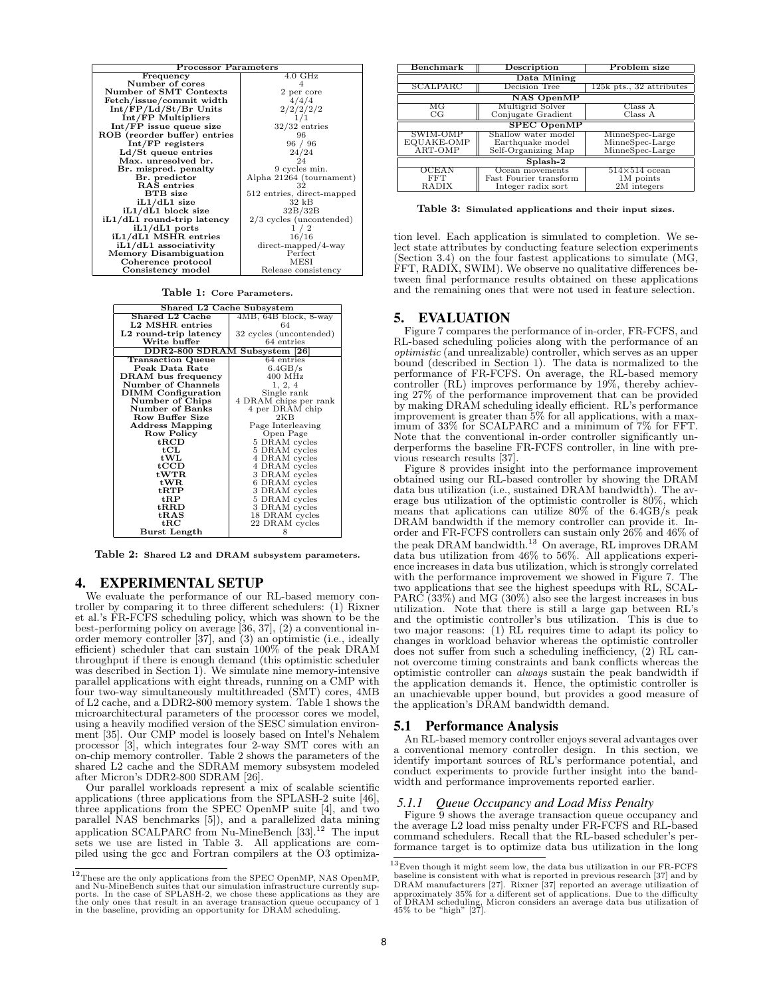| Processor Parameters         |                            |  |
|------------------------------|----------------------------|--|
| Frequency                    | $4.0\text{ GHz}$           |  |
| Number of cores              |                            |  |
| Number of SMT Contexts       | 2 per core                 |  |
| Fetch/issue/commit width     | 4/4/4                      |  |
| $Int/FP/Ld/St/Br$ Units      | 2/2/2/2/2                  |  |
| Int/FP Multipliers           | 1/1                        |  |
| $Int/FP$ issue queue size    | $32/32$ entries            |  |
| ROB (reorder buffer) entries | 96                         |  |
| $Int/FP$ registers           | 96 / 96                    |  |
| $Ld/St$ queue entries        | 24/24                      |  |
| Max. unresolved br.          | 24                         |  |
| Br. mispred. penalty         | 9 cycles min.              |  |
| Br. predictor                | Alpha 21264 (tournament)   |  |
| RAS entries                  | 32                         |  |
| <b>BTB</b> size              | 512 entries, direct-mapped |  |
| iL1/dL1 size                 | $32$ kB                    |  |
| iL1/dL1 block size           | 32B/32B                    |  |
| iL1/dL1 round-trip latency   | $2/3$ cycles (uncontended) |  |
| iL1/dL1 ports                | 1/2                        |  |
| iL1/dL1 MSHR entries         | 16/16                      |  |
| iL1/dL1 associativity        | direct-mapped/4-way        |  |
| Memory Disambiguation        | Perfect                    |  |
| Coherence protocol           | MESI                       |  |
| Consistency model            | Release consistency        |  |

Table 1: Core Parameters.

| Shared L2 Cache Subsystem         |                         |  |
|-----------------------------------|-------------------------|--|
| Shared L2 Cache                   |                         |  |
|                                   | 4MB, 64B block, 8-way   |  |
| L2 MSHR entries                   | 64                      |  |
| L <sub>2</sub> round-trip latency | 32 cycles (uncontended) |  |
| Write buffer                      | 64 entries              |  |
| DDR2-800 SDRAM Subsystem [26]     |                         |  |
| Transaction Queue                 | 64 entries              |  |
| Peak Data Rate                    | 6.4GB/s                 |  |
| DRAM bus frequency                | $400$ MHz               |  |
| Number of Channels                | 1, 2, 4                 |  |
| DIMM Configuration                | Single rank             |  |
| Number of Chips                   | 4 DRAM chips per rank   |  |
| Number of Banks                   | 4 per DRAM chip         |  |
| Row Buffer Size                   | 2KR                     |  |
| <b>Address Mapping</b>            | Page Interleaving       |  |
| <b>Row Policy</b>                 | Open Page               |  |
| $t\mathbf{RCD}$                   | 5 DRAM cycles           |  |
| $\overline{\text{tCL}}$           | 5 DRAM cycles           |  |
| t.WL                              | 4 DRAM cycles           |  |
| $_{\rm tCCD}$                     | 4 DRAM cycles           |  |
| t.WTR.                            | 3 DRAM cycles           |  |
| t.WR.                             | 6 DRAM cycles           |  |
| $t$ RTP                           | 3 DRAM cycles           |  |
| t R.P                             | 5 DRAM cycles           |  |
| ${\rm tRRD}$                      | 3 DRAM cycles           |  |
| t R.A S                           | 18 DRAM cycles          |  |
| $t \, \mathrm{RC}$                | 22 DRAM cycles          |  |
| Burst Length                      | x                       |  |

Table 2: Shared L2 and DRAM subsystem parameters.

# 4. EXPERIMENTAL SETUP

We evaluate the performance of our RL-based memory controller by comparing it to three different schedulers: (1) Rixner et al.'s FR-FCFS scheduling policy, which was shown to be the best-performing policy on average [36, 37], (2) a conventional inorder memory controller [37], and (3) an optimistic (i.e., ideally efficient) scheduler that can sustain 100% of the peak DRAM throughput if there is enough demand (this optimistic scheduler was described in Section 1). We simulate nine memory-intensive parallel applications with eight threads, running on a CMP with four two-way simultaneously multithreaded (SMT) cores, 4MB of L2 cache, and a DDR2-800 memory system. Table 1 shows the microarchitectural parameters of the processor cores we model, using a heavily modified version of the SESC simulation environment [35]. Our CMP model is loosely based on Intel's Nehalem processor [3], which integrates four 2-way SMT cores with an on-chip memory controller. Table 2 shows the parameters of the shared L2 cache and the SDRAM memory subsystem modeled after Micron's DDR2-800 SDRAM [26].

Our parallel workloads represent a mix of scalable scientific applications (three applications from the SPLASH-2 suite [46], three applications from the SPEC OpenMP suite [4], and two parallel NAS benchmarks [5]), and a parallelized data mining application SCALPARC from Nu-MineBench  $[33]$ .<sup>12</sup> The input sets we use are listed in Table 3. All applications are compiled using the gcc and Fortran compilers at the O3 optimiza-

| Benchmark          | Description            | Problem size             |  |
|--------------------|------------------------|--------------------------|--|
| Data Mining        |                        |                          |  |
| SCALPARC           | Decision Tree          | 125k pts., 32 attributes |  |
| <b>NAS OpenMP</b>  |                        |                          |  |
| ΜG                 | Multigrid Solver       | Class A                  |  |
| CG                 | Conjugate Gradient     | Class A                  |  |
| <b>SPEC OpenMP</b> |                        |                          |  |
| SWIM-OMP           | Shallow water model    | MinneSpec-Large          |  |
| EQUAKE-OMP         | Earthquake model       | MinneSpec-Large          |  |
| ART-OMP            | Self-Organizing Map    | MinneSpec-Large          |  |
| $Splash-2$         |                        |                          |  |
| OCEAN              | Ocean movements        | $514\times514$ ocean     |  |
| FFT                | Fast Fourier transform | 1M points                |  |
| <b>RADIX</b>       | Integer radix sort     | 2M integers              |  |

Table 3: Simulated applications and their input sizes.

tion level. Each application is simulated to completion. We select state attributes by conducting feature selection experiments (Section 3.4) on the four fastest applications to simulate (MG, FFT, RADIX, SWIM). We observe no qualitative differences between final performance results obtained on these applications and the remaining ones that were not used in feature selection.

#### 5. EVALUATION

Figure 7 compares the performance of in-order, FR-FCFS, and RL-based scheduling policies along with the performance of an optimistic (and unrealizable) controller, which serves as an upper bound (described in Section 1). The data is normalized to the performance of FR-FCFS. On average, the RL-based memory controller (RL) improves performance by 19%, thereby achieving 27% of the performance improvement that can be provided by making DRAM scheduling ideally efficient. RL's performance improvement is greater than 5% for all applications, with a maximum of 33% for SCALPARC and a minimum of 7% for FFT. Note that the conventional in-order controller significantly underperforms the baseline FR-FCFS controller, in line with previous research results [37].

Figure 8 provides insight into the performance improvement obtained using our RL-based controller by showing the DRAM data bus utilization (i.e., sustained DRAM bandwidth). The average bus utilization of the optimistic controller is 80%, which means that aplications can utilize 80% of the 6.4GB/s peak DRAM bandwidth if the memory controller can provide it. Inorder and FR-FCFS controllers can sustain only 26% and 46% of the peak DRAM bandwidth.<sup>13</sup> On average, RL improves DRAM data bus utilization from 46% to 56%. All applications experience increases in data bus utilization, which is strongly correlated with the performance improvement we showed in Figure 7. The two applications that see the highest speedups with RL, SCAL-PARC (33%) and MG (30%) also see the largest increases in bus utilization. Note that there is still a large gap between RL's and the optimistic controller's bus utilization. This is due to two major reasons: (1) RL requires time to adapt its policy to changes in workload behavior whereas the optimistic controller does not suffer from such a scheduling inefficiency, (2) RL cannot overcome timing constraints and bank conflicts whereas the optimistic controller can always sustain the peak bandwidth if the application demands it. Hence, the optimistic controller is an unachievable upper bound, but provides a good measure of the application's DRAM bandwidth demand.

#### 5.1 Performance Analysis

An RL-based memory controller enjoys several advantages over a conventional memory controller design. In this section, we identify important sources of RL's performance potential, and conduct experiments to provide further insight into the bandwidth and performance improvements reported earlier.

#### *5.1.1 Queue Occupancy and Load Miss Penalty*

Figure 9 shows the average transaction queue occupancy and the average L2 load miss penalty under FR-FCFS and RL-based command schedulers. Recall that the RL-based scheduler's performance target is to optimize data bus utilization in the long

 $^{12}$ These are the only applications from the SPEC OpenMP, NAS OpenMP, and Nu-MineBench suites that our simulation infrastructure currently supports. In the case of SPLASH-2, we chose these applications as they are the only ones that result in an average transaction queue occupancy of 1 in the baseline, providing an opportunity for DRAM scheduling.

 $^{13}$ Even though it might seem low, the data bus utilization in our FR-FCFS baseline is consistent with what is reported in previous research [37] and by DRAM manufacturers [27]. Rixner [37] reported an average utilization of approximately 35% for a different set of applications. Due to the difficulty of DRAM scheduling, Micron considers an average data bus utilization of 45% to be "high" [27].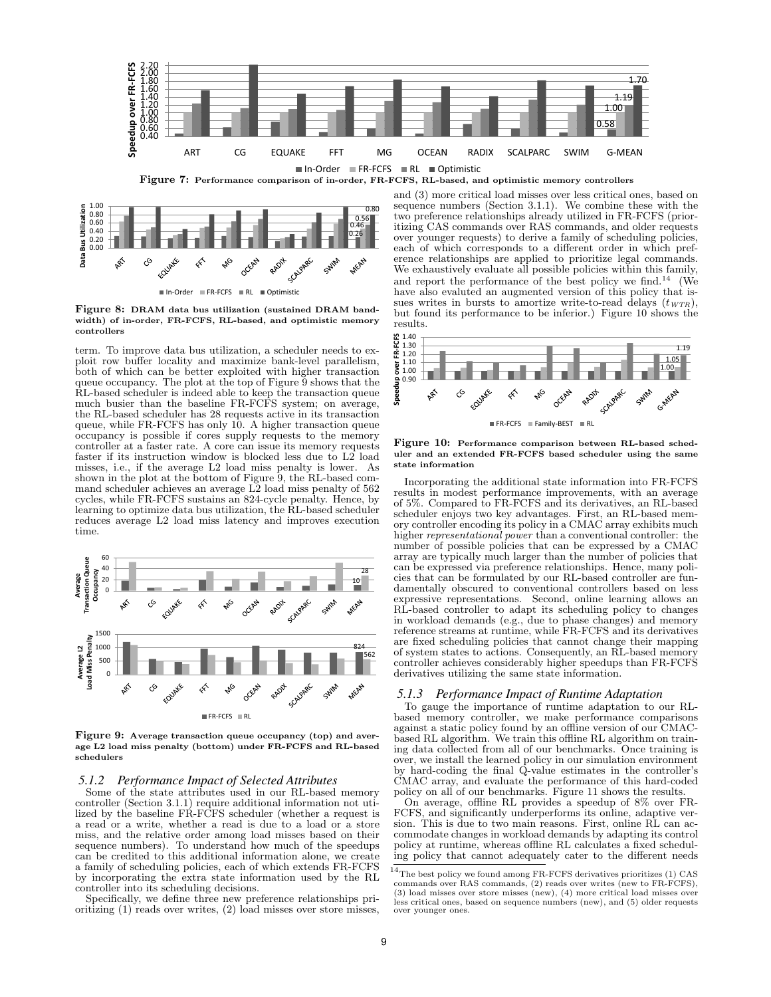

■ In-Order FR-FCFS RL Doptimistic

Figure 7: Performance comparison of in-order, FR-FCFS, RL-based, and optimistic memory controllers



Figure 8: DRAM data bus utilization (sustained DRAM bandwidth) of in-order, FR-FCFS, RL-based, and optimistic memory controllers

term. To improve data bus utilization, a scheduler needs to exploit row buffer locality and maximize bank-level parallelism, both of which can be better exploited with higher transaction queue occupancy. The plot at the top of Figure 9 shows that the RL-based scheduler is indeed able to keep the transaction queue much busier than the baseline FR-FCFS system; on average, the RL-based scheduler has 28 requests active in its transaction queue, while FR-FCFS has only 10. A higher transaction queue occupancy is possible if cores supply requests to the memory controller at a faster rate. A core can issue its memory requests faster if its instruction window is blocked less due to L2 load misses, i.e., if the average L2 load miss penalty is lower. As shown in the plot at the bottom of Figure 9, the RL-based command scheduler achieves an average L2 load miss penalty of 562 cycles, while FR-FCFS sustains an 824-cycle penalty. Hence, by learning to optimize data bus utilization, the RL-based scheduler reduces average L2 load miss latency and improves execution time.



Figure 9: Average transaction queue occupancy (top) and average L2 load miss penalty (bottom) under FR-FCFS and RL-based schedulers

#### *5.1.2 Performance Impact of Selected Attributes*

Some of the state attributes used in our RL-based memory controller (Section 3.1.1) require additional information not utilized by the baseline FR-FCFS scheduler (whether a request is a read or a write, whether a read is due to a load or a store miss, and the relative order among load misses based on their sequence numbers). To understand how much of the speedups can be credited to this additional information alone, we create a family of scheduling policies, each of which extends FR-FCFS by incorporating the extra state information used by the RL controller into its scheduling decisions.

Specifically, we define three new preference relationships prioritizing (1) reads over writes, (2) load misses over store misses, and (3) more critical load misses over less critical ones, based on sequence numbers (Section 3.1.1). We combine these with the two preference relationships already utilized in FR-FCFS (prioritizing CAS commands over RAS commands, and older requests over younger requests) to derive a family of scheduling policies, each of which corresponds to a different order in which preference relationships are applied to prioritize legal commands. We exhaustively evaluate all possible policies within this family, and report the performance of the best policy we find.<sup>14</sup> (We have also evaluted an augmented version of this policy that issues writes in bursts to amortize write-to-read delays  $(t_{WTR})$ , but found its performance to be inferior.) Figure 10 shows the results.





Incorporating the additional state information into FR-FCFS results in modest performance improvements, with an average of 5%. Compared to FR-FCFS and its derivatives, an RL-based scheduler enjoys two key advantages. First, an RL-based memory controller encoding its policy in a CMAC array exhibits much higher *representational power* than a conventional controller: the number of possible policies that can be expressed by a CMAC array are typically much larger than the number of policies that can be expressed via preference relationships. Hence, many policies that can be formulated by our RL-based controller are fundamentally obscured to conventional controllers based on less expressive representations. Second, online learning allows an RL-based controller to adapt its scheduling policy to changes in workload demands (e.g., due to phase changes) and memory reference streams at runtime, while FR-FCFS and its derivatives are fixed scheduling policies that cannot change their mapping of system states to actions. Consequently, an RL-based memory controller achieves considerably higher speedups than FR-FCFS derivatives utilizing the same state information.

#### *5.1.3 Performance Impact of Runtime Adaptation*

To gauge the importance of runtime adaptation to our RLbased memory controller, we make performance comparisons against a static policy found by an offline version of our CMACbased RL algorithm. We train this offline RL algorithm on training data collected from all of our benchmarks. Once training is over, we install the learned policy in our simulation environment by hard-coding the final Q-value estimates in the controller's CMAC array, and evaluate the performance of this hard-coded policy on all of our benchmarks. Figure 11 shows the results.

On average, offline RL provides a speedup of 8% over FR-FCFS, and significantly underperforms its online, adaptive version. This is due to two main reasons. First, online RL can accommodate changes in workload demands by adapting its control policy at runtime, whereas offline RL calculates a fixed scheduling policy that cannot adequately cater to the different needs

 $^{14}{\rm The}$  best policy we found among FR-FCFS derivatives prioritizes (1) CAS commands over RAS commands, (2) reads over writes (new to FR-FCFS), (3) load misses over store misses (new), (4) more critical load misses over less critical ones, based on sequence numbers (new), and (5) older requests over younger ones.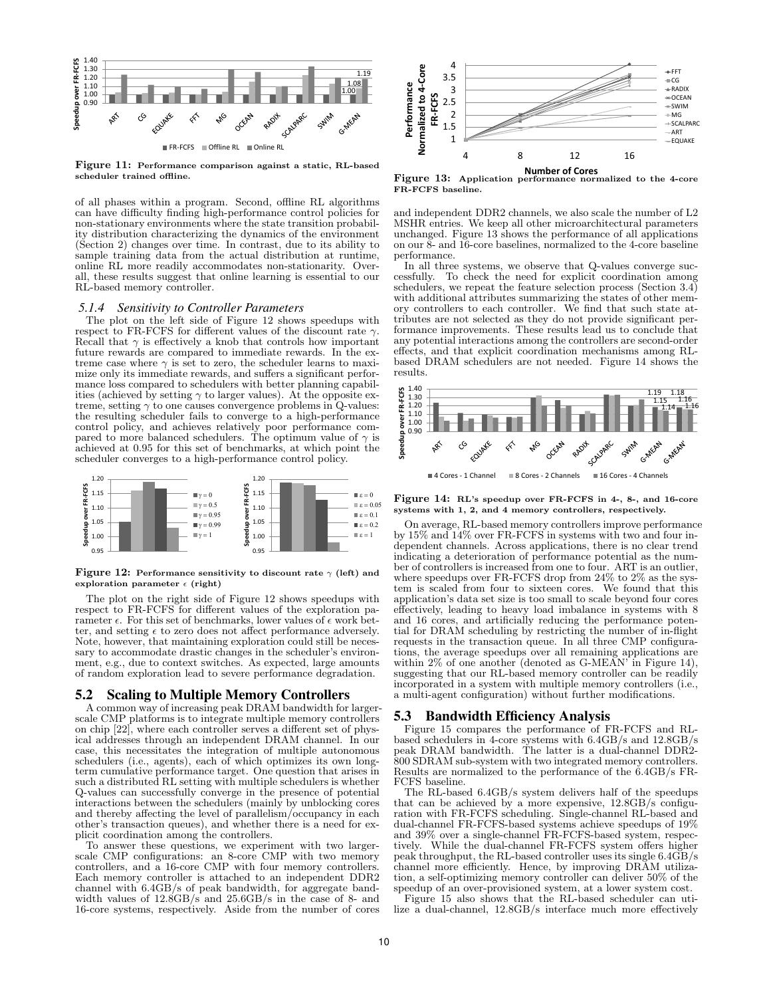

Figure 11: Performance comparison against a static, RL-based scheduler trained offline.

of all phases within a program. Second, offline RL algorithms can have difficulty finding high-performance control policies for non-stationary environments where the state transition probability distribution characterizing the dynamics of the environment (Section 2) changes over time. In contrast, due to its ability to sample training data from the actual distribution at runtime, online RL more readily accommodates non-stationarity. Overall, these results suggest that online learning is essential to our RL-based memory controller.

#### *5.1.4 Sensitivity to Controller Parameters*

The plot on the left side of Figure 12 shows speedups with respect to FR-FCFS for different values of the discount rate  $\gamma$ . Recall that  $\gamma$  is effectively a knob that controls how important future rewards are compared to immediate rewards. In the extreme case where  $\gamma$  is set to zero, the scheduler learns to maximize only its immediate rewards, and suffers a significant performance loss compared to schedulers with better planning capabilities (achieved by setting  $\gamma$  to larger values). At the opposite extreme, setting  $\gamma$  to one causes convergence problems in Q-values: the resulting scheduler fails to converge to a high-performance control policy, and achieves relatively poor performance compared to more balanced schedulers. The optimum value of  $\gamma$  is achieved at 0.95 for this set of benchmarks, at which point the scheduler converges to a high-performance control policy.



Figure 12: Performance sensitivity to discount rate  $\gamma$  (left) and exploration parameter  $\epsilon$  (right)

The plot on the right side of Figure 12 shows speedups with respect to FR-FCFS for different values of the exploration parameter  $\epsilon$ . For this set of benchmarks, lower values of  $\epsilon$  work better, and setting  $\epsilon$  to zero does not affect performance adversely. Note, however, that maintaining exploration could still be necessary to accommodate drastic changes in the scheduler's environment, e.g., due to context switches. As expected, large amounts of random exploration lead to severe performance degradation.

#### 5.2 Scaling to Multiple Memory Controllers

A common way of increasing peak DRAM bandwidth for largerscale CMP platforms is to integrate multiple memory controllers on chip [22], where each controller serves a different set of physical addresses through an independent DRAM channel. In our case, this necessitates the integration of multiple autonomous schedulers (i.e., agents), each of which optimizes its own longterm cumulative performance target. One question that arises in such a distributed RL setting with multiple schedulers is whether Q-values can successfully converge in the presence of potential interactions between the schedulers (mainly by unblocking cores and thereby affecting the level of parallelism/occupancy in each other's transaction queues), and whether there is a need for explicit coordination among the controllers.

To answer these questions, we experiment with two largerscale CMP configurations: an 8-core CMP with two memory controllers, and a 16-core CMP with four memory controllers. Each memory controller is attached to an independent DDR2 channel with 6.4GB/s of peak bandwidth, for aggregate bandwidth values of 12.8GB/s and 25.6GB/s in the case of 8- and 16-core systems, respectively. Aside from the number of cores



Figure 13: Application performance normalized to the 4-core FR-FCFS baseline.

and independent DDR2 channels, we also scale the number of L2 MSHR entries. We keep all other microarchitectural parameters unchanged. Figure 13 shows the performance of all applications on our 8- and 16-core baselines, normalized to the 4-core baseline performance.

In all three systems, we observe that Q-values converge successfully. To check the need for explicit coordination among schedulers, we repeat the feature selection process (Section 3.4) with additional attributes summarizing the states of other memory controllers to each controller. We find that such state attributes are not selected as they do not provide significant performance improvements. These results lead us to conclude that any potential interactions among the controllers are second-order effects, and that explicit coordination mechanisms among RLbased DRAM schedulers are not needed. Figure 14 shows the results.



Figure 14: RL's speedup over FR-FCFS in 4-, 8-, and 16-core systems with 1, 2, and 4 memory controllers, respectively.

On average, RL-based memory controllers improve performance by 15% and 14% over FR-FCFS in systems with two and four independent channels. Across applications, there is no clear trend indicating a deterioration of performance potential as the number of controllers is increased from one to four. ART is an outlier, where speedups over FR-FCFS drop from 24% to 2% as the system is scaled from four to sixteen cores. We found that this application's data set size is too small to scale beyond four cores effectively, leading to heavy load imbalance in systems with 8 and 16 cores, and artificially reducing the performance potential for DRAM scheduling by restricting the number of in-flight requests in the transaction queue. In all three CMP configurations, the average speedups over all remaining applications are within 2% of one another (denoted as G-MEAN' in Figure 14), suggesting that our RL-based memory controller can be readily incorporated in a system with multiple memory controllers (i.e., a multi-agent configuration) without further modifications.

#### 5.3 Bandwidth Efficiency Analysis

Figure 15 compares the performance of FR-FCFS and RLbased schedulers in 4-core systems with 6.4GB/s and 12.8GB/s peak DRAM bandwidth. The latter is a dual-channel DDR2- 800 SDRAM sub-system with two integrated memory controllers. Results are normalized to the performance of the 6.4GB/s FR-FCFS baseline.

The RL-based 6.4GB/s system delivers half of the speedups that can be achieved by a more expensive, 12.8GB/s configuration with FR-FCFS scheduling. Single-channel RL-based and dual-channel FR-FCFS-based systems achieve speedups of 19% and 39% over a single-channel FR-FCFS-based system, respectively. While the dual-channel FR-FCFS system offers higher peak throughput, the RL-based controller uses its single 6.4GB/s channel more efficiently. Hence, by improving DRAM utilization, a self-optimizing memory controller can deliver 50% of the speedup of an over-provisioned system, at a lower system cost.

Figure 15 also shows that the RL-based scheduler can utilize a dual-channel, 12.8GB/s interface much more effectively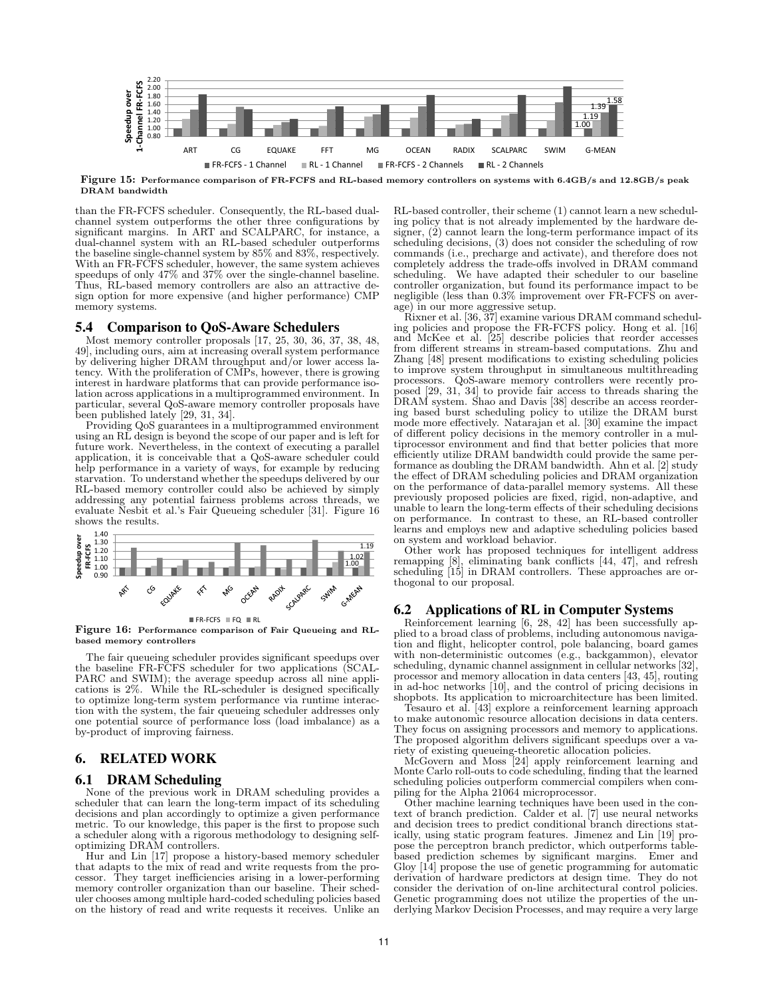

Figure 15: Performance comparison of FR-FCFS and RL-based memory controllers on systems with 6.4GB/s and 12.8GB/s peak DRAM bandwidth

than the FR-FCFS scheduler. Consequently, the RL-based dualchannel system outperforms the other three configurations by significant margins. In ART and SCALPARC, for instance, a dual-channel system with an RL-based scheduler outperforms the baseline single-channel system by 85% and 83%, respectively. With an FR-FCFS scheduler, however, the same system achieves speedups of only 47% and 37% over the single-channel baseline. Thus, RL-based memory controllers are also an attractive design option for more expensive (and higher performance) CMP memory systems.

#### 5.4 Comparison to QoS-Aware Schedulers

Most memory controller proposals [17, 25, 30, 36, 37, 38, 48, 49], including ours, aim at increasing overall system performance by delivering higher DRAM throughput and/or lower access latency. With the proliferation of CMPs, however, there is growing interest in hardware platforms that can provide performance isolation across applications in a multiprogrammed environment. In particular, several QoS-aware memory controller proposals have been published lately [29, 31, 34].

Providing QoS guarantees in a multiprogrammed environment using an RL design is beyond the scope of our paper and is left for future work. Nevertheless, in the context of executing a parallel application, it is conceivable that a QoS-aware scheduler could help performance in a variety of ways, for example by reducing starvation. To understand whether the speedups delivered by our RL-based memory controller could also be achieved by simply addressing any potential fairness problems across threads, we evaluate Nesbit et al.'s Fair Queueing scheduler [31]. Figure 16 shows the results.



Figure 16: Performance comparison of Fair Queueing and RLbased memory controllers

The fair queueing scheduler provides significant speedups over the baseline FR-FCFS scheduler for two applications (SCAL-PARC and SWIM); the average speedup across all nine applications is 2%. While the RL-scheduler is designed specifically to optimize long-term system performance via runtime interaction with the system, the fair queueing scheduler addresses only one potential source of performance loss (load imbalance) as a by-product of improving fairness.

# 6. RELATED WORK

#### 6.1 DRAM Scheduling

None of the previous work in DRAM scheduling provides a scheduler that can learn the long-term impact of its scheduling decisions and plan accordingly to optimize a given performance metric. To our knowledge, this paper is the first to propose such a scheduler along with a rigorous methodology to designing selfoptimizing DRAM controllers.

Hur and Lin [17] propose a history-based memory scheduler that adapts to the mix of read and write requests from the processor. They target inefficiencies arising in a lower-performing memory controller organization than our baseline. Their scheduler chooses among multiple hard-coded scheduling policies based on the history of read and write requests it receives. Unlike an RL-based controller, their scheme (1) cannot learn a new scheduling policy that is not already implemented by the hardware designer,  $(2)$  cannot learn the long-term performance impact of its scheduling decisions, (3) does not consider the scheduling of row commands (i.e., precharge and activate), and therefore does not completely address the trade-offs involved in DRAM command scheduling. We have adapted their scheduler to our baseline controller organization, but found its performance impact to be negligible (less than 0.3% improvement over FR-FCFS on average) in our more aggressive setup.

Rixner et al. [36, 37] examine various DRAM command scheduling policies and propose the FR-FCFS policy. Hong et al. [16] and McKee et al. [25] describe policies that reorder accesses from different streams in stream-based computations. Zhu and Zhang [48] present modifications to existing scheduling policies to improve system throughput in simultaneous multithreading processors. QoS-aware memory controllers were recently proposed [29, 31, 34] to provide fair access to threads sharing the DRAM system. Shao and Davis [38] describe an access reordering based burst scheduling policy to utilize the DRAM burst mode more effectively. Natarajan et al. [30] examine the impact of different policy decisions in the memory controller in a multiprocessor environment and find that better policies that more efficiently utilize DRAM bandwidth could provide the same performance as doubling the DRAM bandwidth. Ahn et al. [2] study the effect of DRAM scheduling policies and DRAM organization on the performance of data-parallel memory systems. All these previously proposed policies are fixed, rigid, non-adaptive, and unable to learn the long-term effects of their scheduling decisions on performance. In contrast to these, an RL-based controller learns and employs new and adaptive scheduling policies based on system and workload behavior.

Other work has proposed techniques for intelligent address remapping [8], eliminating bank conflicts [44, 47], and refresh scheduling [15] in DRAM controllers. These approaches are orthogonal to our proposal.

# 6.2 Applications of RL in Computer Systems

Reinforcement learning [6, 28, 42] has been successfully applied to a broad class of problems, including autonomous navigation and flight, helicopter control, pole balancing, board games with non-deterministic outcomes (e.g., backgammon), elevator scheduling, dynamic channel assignment in cellular networks [32], processor and memory allocation in data centers [43, 45], routing in ad-hoc networks [10], and the control of pricing decisions in shopbots. Its application to microarchitecture has been limited.

Tesauro et al. [43] explore a reinforcement learning approach to make autonomic resource allocation decisions in data centers. They focus on assigning processors and memory to applications. The proposed algorithm delivers significant speedups over a variety of existing queueing-theoretic allocation policies.

McGovern and Moss [24] apply reinforcement learning and Monte Carlo roll-outs to code scheduling, finding that the learned scheduling policies outperform commercial compilers when compiling for the Alpha 21064 microprocessor.

Other machine learning techniques have been used in the context of branch prediction. Calder et al. [7] use neural networks and decision trees to predict conditional branch directions statically, using static program features. Jimenez and Lin [19] propose the perceptron branch predictor, which outperforms tablebased prediction schemes by significant margins. Emer and Gloy [14] propose the use of genetic programming for automatic derivation of hardware predictors at design time. They do not consider the derivation of on-line architectural control policies. Genetic programming does not utilize the properties of the underlying Markov Decision Processes, and may require a very large